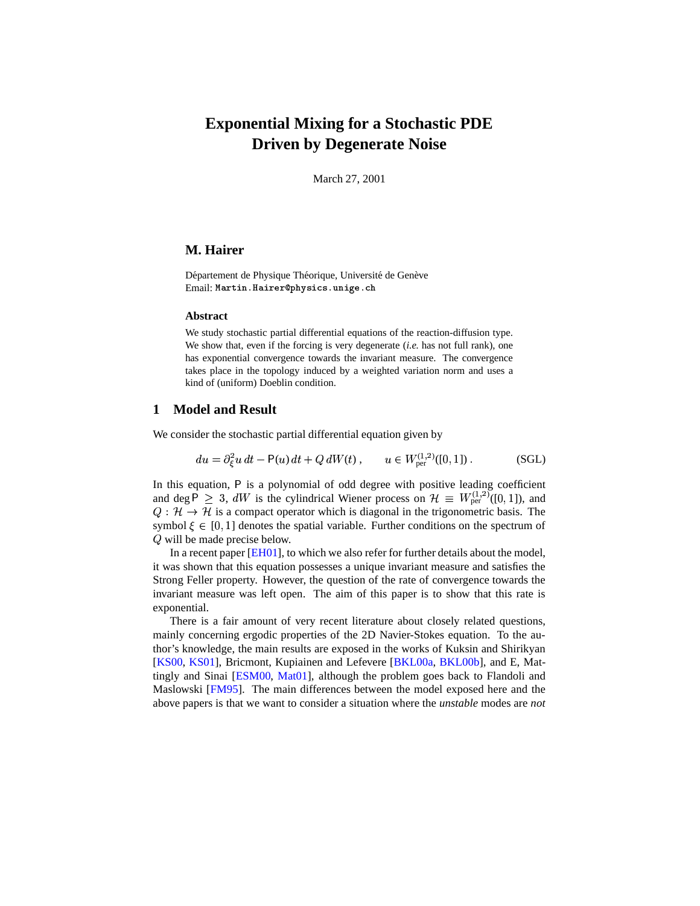# **Exponential Mixing for a Stochastic PDE Driven by Degenerate Noise**

March 27, 2001

# **M. Hairer**

Département de Physique Théorique, Université de Genève Email: Martin.Hairer@physics.unige.ch

#### **Abstract**

We study stochastic partial differential equations of the reaction-diffusion type. We show that, even if the forcing is very degenerate (*i.e.* has not full rank), one has exponential convergence towards the invariant measure. The convergence takes place in the topology induced by a weighted variation norm and uses a kind of (uniform) Doeblin condition.

## <span id="page-0-0"></span>**1 Model and Result**

We consider the stochastic partial differential equation given by

$$
du = \partial_{\xi}^{2} u dt - P(u) dt + Q dW(t), \qquad u \in W_{\text{per}}^{(1,2)}([0,1]) .
$$
 (SGL)

In this equation, P is a polynomial of odd degree with positive leading coefficient and deg  $\overline{P} \geq 3$ , dW is the cylindrical Wiener process on  $\mathcal{H} \equiv W_{\text{per}}^{(1,2)}([0,1])$ , and  $Q: \mathcal{H} \to \mathcal{H}$  is a compact operator which is diagonal in the trigonometric basis. The symbol  $\xi \in [0, 1]$  denotes the spatial variable. Further conditions on the spectrum of Q will be made precise below.

In a recent paper [\[EH01\]](#page-9-0), to which we also refer for further details about the model, it was shown that this equation possesses a unique invariant measure and satisfies the Strong Feller property. However, the question of the rate of convergence towards the invariant measure was left open. The aim of this paper is to show that this rate is exponential.

There is a fair amount of very recent literature about closely related questions, mainly concerning ergodic properties of the 2D Navier-Stokes equation. To the author's knowledge, the main results are exposed in the works of Kuksin and Shirikyan [\[KS00,](#page-9-1) [KS01\]](#page-9-2), Bricmont, Kupiainen and Lefevere [\[BKL00a,](#page-9-3) [BKL00b\]](#page-9-4), and E, Mattingly and Sinai [\[ESM00,](#page-9-5) [Mat01\]](#page-9-6), although the problem goes back to Flandoli and Maslowski [\[FM95\]](#page-9-7). The main differences between the model exposed here and the above papers is that we want to consider a situation where the *unstable* modes are *not*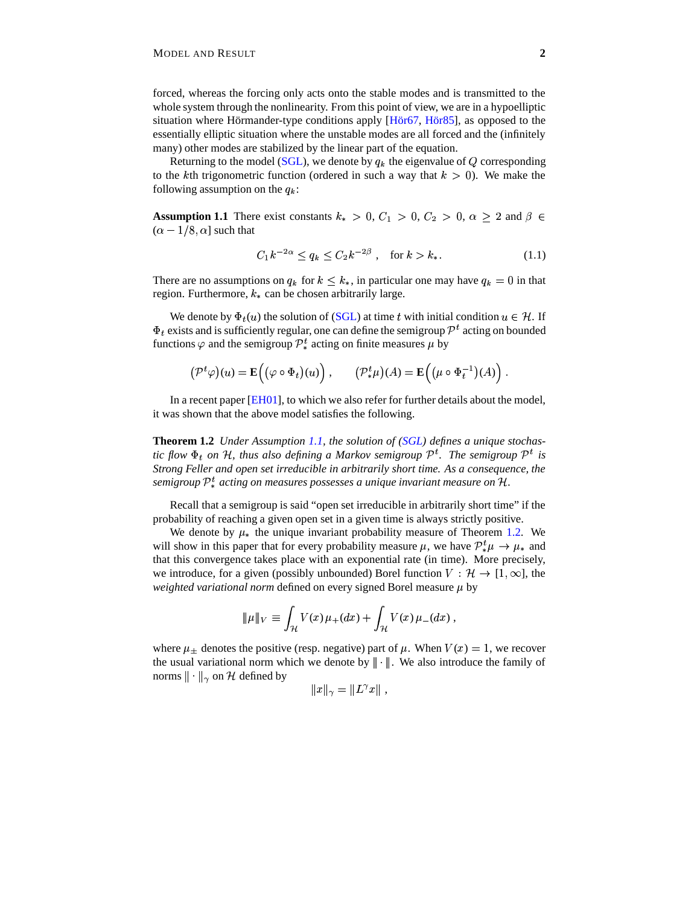forced, whereas the forcing only acts onto the stable modes and is transmitted to the whole system through the nonlinearity. From this point of view, we are in a hypoelliptic situation where Hörmander-type conditions apply  $[H\ddot{\sigma}\dot{\sigma}7, H\ddot{\sigma}\dot{\sigma}85]$ , as opposed to the essentially elliptic situation where the unstable modes are all forced and the (infinitely many) other modes are stabilized by the linear part of the equation.

Returning to the model [\(SGL\)](#page-0-0), we denote by  $q_k$  the eigenvalue of Q corresponding to the kth trigonometric function (ordered in such a way that  $k > 0$ ). We make the following assumption on the  $q_k$ :

**Assumption 1.1** There exist constants  $k_* > 0$ ,  $C_1 > 0$ ,  $C_2 > 0$ ,  $\alpha \geq 2$  and  $\beta \in$  $(\alpha - 1/8, \alpha]$  such that

$$
C_1 k^{-2\alpha} \le q_k \le C_2 k^{-2\beta} \,, \quad \text{for } k > k_*.
$$
 (1.1)

There are no assumptions on  $q_k$  for  $k \leq k_*$ , in particular one may have  $q_k = 0$  in that region. Furthermore,  $k_*$  can be chosen arbitrarily large.

We denote by  $\Phi_t(u)$  the solution of [\(SGL\)](#page-0-0) at time t with initial condition  $u \in \mathcal{H}$ . If  $\Phi_t$  exists and is sufficiently regular, one can define the semigroup  $\mathcal{P}^t$  acting on bounded functions  $\varphi$  and the semigroup  $\mathcal{P}_{*}^{t}$  acting on finite measures  $\mu$  by

$$
\left(\mathcal{P}^t\varphi\right)(u) = \mathbf{E}\left((\varphi \circ \Phi_t)(u)\right), \qquad \left(\mathcal{P}^t_*\mu\right)(A) = \mathbf{E}\left((\mu \circ \Phi_t^{-1})(A)\right).
$$

In a recent paper [\[EH01\]](#page-9-0), to which we also refer for further details about the model, it was shown that the above model satisfies the following.

**Theorem 1.2** *Under Assumption [1.1,](#page-6-0) the solution of [\(SGL\)](#page-0-0) defines a unique stochastic* flow  $\Phi_t$  on H, thus also defining a Markov semigroup  $\mathcal{P}^t$ . The semigroup  $\mathcal{P}^t$  is *Strong Feller and open set irreducible in arbitrarily short time. As a consequence, the semigroup*  $\mathcal{P}_{\ast}^{t}$  *acting on measures possesses a unique invariant measure on* H.

Recall that a semigroup is said "open set irreducible in arbitrarily short time" if the probability of reaching a given open set in a given time is always strictly positive.

We denote by  $\mu_*$  the unique invariant probability measure of Theorem [1.2.](#page-6-1) We will show in this paper that for every probability measure  $\mu$ , we have  $\mathcal{P}_{*}^{t} \mu \rightarrow \mu_{*}$  and that this convergence takes place with an exponential rate (in time). More precisely, we introduce, for a given (possibly unbounded) Borel function  $V : \mathcal{H} \to [1,\infty]$ , the *weighted variational norm* defined on every signed Borel measure  $\mu$  by

$$
\|\mu\|_V \equiv \int_{\mathcal{H}} V(x)\,\mu_+(dx) + \int_{\mathcal{H}} V(x)\,\mu_-(dx)\,,
$$

where  $\mu_{\pm}$  denotes the positive (resp. negative) part of  $\mu$ . When  $V(x) = 1$ , we recover the usual variational norm which we denote by  $\|\cdot\|$ . We also introduce the family of norms  $\|\cdot\|_{\gamma}$  on H defined by

$$
||x||_{\gamma} = ||L^{\gamma}x||,
$$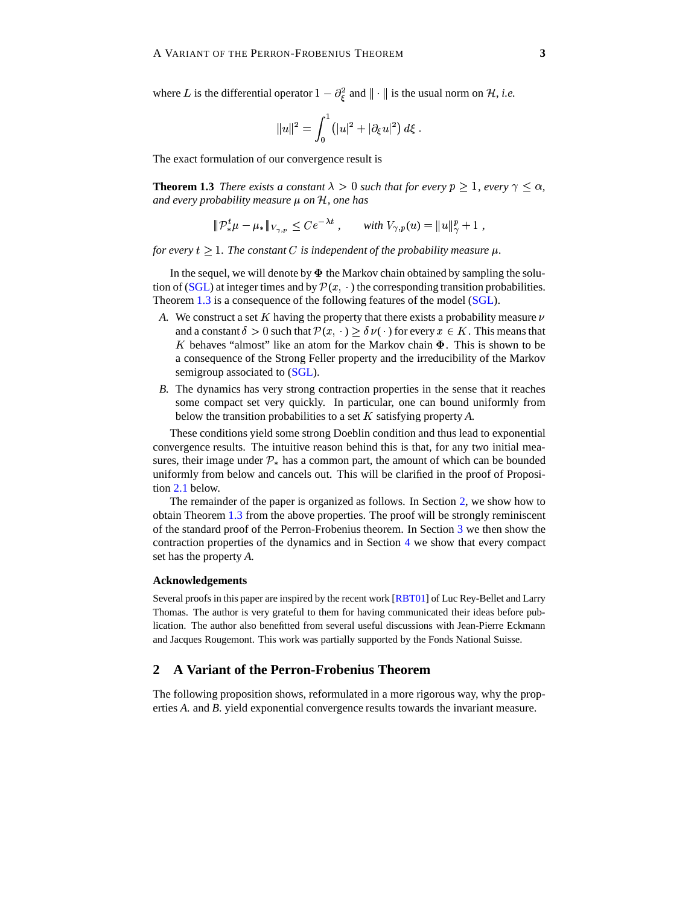where L is the differential operator  $1 - \partial_{\xi}^{2}$  and  $\|\cdot\|$  is the usual norm on H, *i.e.* 

$$
\|u\|^2 = \int_0^1 \left(|u|^2 + |\partial_\xi u|^2\right) d\xi \; .
$$

The exact formulation of our convergence result is

**Theorem 1.3** *There exists a constant*  $\lambda > 0$  *such that for every*  $p \ge 1$ *, every*  $\gamma \le \alpha$ *, and every probability measure*  $\mu$  *on*  $\mathcal{H}$ *, one has* 

$$
\|\mathcal{P}_{*}^{t}\mu - \mu_{*}\|_{V_{\gamma,p}} \leq Ce^{-\lambda t}, \quad \text{with } V_{\gamma,p}(u) = \|u\|_{\gamma}^{p} + 1,
$$

*for every*  $t \geq 1$ *. The constant* C *is independent of the probability measure*  $\mu$ *.* 

In the sequel, we will denote by  $\Phi$  the Markov chain obtained by sampling the solu-tion of [\(SGL\)](#page-0-0) at integer times and by  $\mathcal{P}(x, \cdot)$  the corresponding transition probabilities. Theorem [1.3](#page-6-2) is a consequence of the following features of the model [\(SGL\)](#page-0-0).

- A. We construct a set K having the property that there exists a probability measure  $\nu$ and a constant  $\delta > 0$  such that  $\mathcal{P}(x, \cdot) \ge \delta \nu(\cdot)$  for every  $x \in K$ . This means that  $K$  behaves "almost" like an atom for the Markov chain  $\Phi$ . This is shown to be a consequence of the Strong Feller property and the irreducibility of the Markov semigroup associated to [\(SGL\)](#page-0-0).
- *B.* The dynamics has very strong contraction properties in the sense that it reaches some compact set very quickly. In particular, one can bound uniformly from below the transition probabilities to a set  $K$  satisfying property  $A$ .

These conditions yield some strong Doeblin condition and thus lead to exponential convergence results. The intuitive reason behind this is that, for any two initial measures, their image under  $\mathcal{P}_*$  has a common part, the amount of which can be bounded uniformly from below and cancels out. This will be clarified in the proof of Proposition [2.1](#page-6-0) below.

The remainder of the paper is organized as follows. In Section [2,](#page-2-0) we show how to obtain Theorem [1.3](#page-6-2) from the above properties. The proof will be strongly reminiscent of the standard proof of the Perron-Frobenius theorem. In Section [3](#page-4-0) we then show the contraction properties of the dynamics and in Section [4](#page-6-3) we show that every compact set has the property *A.*

#### **Acknowledgements**

Several proofs in this paper are inspired by the recent work [\[RBT01\]](#page-9-10) of Luc Rey-Bellet and Larry Thomas. The author is very grateful to them for having communicated their ideas before publication. The author also benefitted from several useful discussions with Jean-Pierre Eckmann and Jacques Rougemont. This work was partially supported by the Fonds National Suisse.

# <span id="page-2-0"></span>**2 A Variant of the Perron-Frobenius Theorem**

The following proposition shows, reformulated in a more rigorous way, why the properties *A.* and *B.* yield exponential convergence results towards the invariant measure.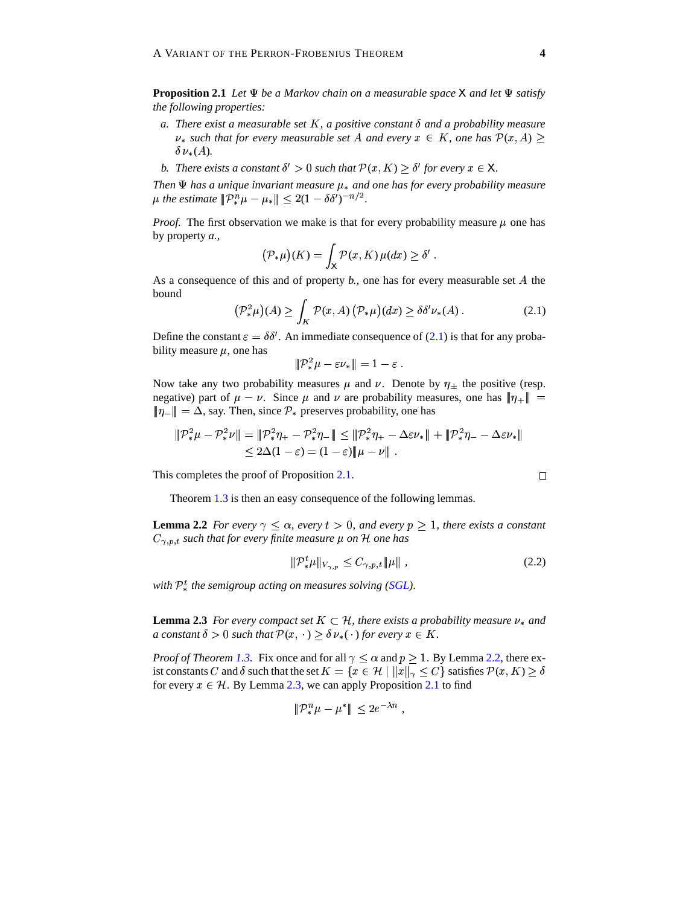**Proposition 2.1** *Let*  $\Psi$  *be a Markov chain on a measurable space*  $X$  *and let*  $\Psi$  *satisfy the following properties:*

- *a.* There exist a measurable set K, a positive constant  $\delta$  and a probability measure  $\nu_*$  such that for every measurable set A and every  $x \in K$ , one has  $\mathcal{P}(x, A) \geq$  $\delta \nu_*(A)$ .
- *b. There exists a constant*  $\delta' > 0$  *such that*  $\mathcal{P}(x, K) \geq \delta'$  for every  $x \in \mathsf{X}$ .

*Then*  $\Psi$  *has a unique invariant measure*  $\mu_*$  *and one has for every probability measure*  $\mu$  the estimate  $lVert \mathcal{P}^n_* \mu - \mu_* \rVert \leq 2(1 - \delta \delta')^{-n/2}$ .

*Proof.* The first observation we make is that for every probability measure  $\mu$  one has by property *a.*,

$$
(\mathcal{P}_{*}\mu)(K) = \int_{X} \mathcal{P}(x, K) \,\mu(dx) \geq \delta'.
$$

As a consequence of this and of property  $b$ , one has for every measurable set  $A$  the bound

$$
\left(\mathcal{P}_{*}^{2}\mu\right)(A) \geq \int_{K} \mathcal{P}(x, A) \left(\mathcal{P}_{*}\mu\right)(dx) \geq \delta \delta' \nu_{*}(A) . \tag{2.1}
$$

Define the constant  $\varepsilon = \delta \delta'$ . An immediate consequence of [\(2.1\)](#page-3-0) is that for any probability measure  $\mu$ , one has

<span id="page-3-0"></span>
$$
\|\mathcal{P}_*^2\mu - \varepsilon \nu_*\| = 1 - \varepsilon.
$$

Now take any two probability measures  $\mu$  and  $\nu$ . Denote by  $\eta_{\pm}$  the positive (resp. negative) part of  $\mu - \nu$ . Since  $\mu$  and  $\nu$  are probability measures, one has  $\|\eta_+\|$  =  $\|\eta_-\| = \Delta$ , say. Then, since  $\mathcal{P}_*$  preserves probability, one has

$$
\mathcal{P}_*^2 \mu - \mathcal{P}_*^2 \nu \mathcal{V} = \mathcal{P}_*^2 \eta_+ - \mathcal{P}_*^2 \eta_- \mathcal{V} \le \mathcal{P}_*^2 \eta_+ - \Delta \varepsilon \nu_* \mathcal{V} + \mathcal{P}_*^2 \eta_- - \Delta \varepsilon \nu_* \mathcal{V}
$$
  

$$
\le 2\Delta (1-\varepsilon) = (1-\varepsilon) \mathcal{V} + \mathcal{V}.
$$

This completes the proof of Proposition [2.1.](#page-6-0)

Theorem [1.3](#page-6-2) is then an easy consequence of the following lemmas.

**Lemma 2.2** *For every*  $\gamma \leq \alpha$ *, every*  $t > 0$ *, and every*  $p \geq 1$ *, there exists a constant*  $C_{\gamma, p, t}$  such that for every finite measure  $\mu$  on  $\mathcal H$  one has

$$
\| \mathcal{P}_{*}^{t} \mu \|_{V_{\gamma, p}} \leq C_{\gamma, p, t} \| \mu \| \,, \tag{2.2}
$$

*with*  $\mathcal{P}_{*}^{t}$  *the semigroup acting on measures solving [\(SGL\)](#page-0-0).* 

**Lemma 2.3** *For every compact set*  $K \subset \mathcal{H}$ *, there exists a probability measure*  $\nu_*$  *and a* constant  $\delta > 0$  such that  $\mathcal{P}(x, \cdot) \geq \delta \nu_*(\cdot)$  for every  $x \in K$ .

*Proof of Theorem [1.3.](#page-6-2)* Fix once and for all  $\gamma \leq \alpha$  and  $p \geq 1$ . By Lemma [2.2,](#page-6-1) there exist constants C and  $\delta$  such that the set  $K = \{x \in \mathcal{H} \mid ||x||_{\gamma} \leq C\}$  satisfies  $\mathcal{P}(x,K) \geq \delta$ for every  $x \in \mathcal{H}$ . By Lemma [2.3,](#page-6-2) we can apply Proposition [2.1](#page-6-0) to find

$$
\|\mathcal{P}^n_*\mu-\mu^*\|\leq 2e^{-\lambda n},
$$

<span id="page-3-1"></span>
$$
\Box
$$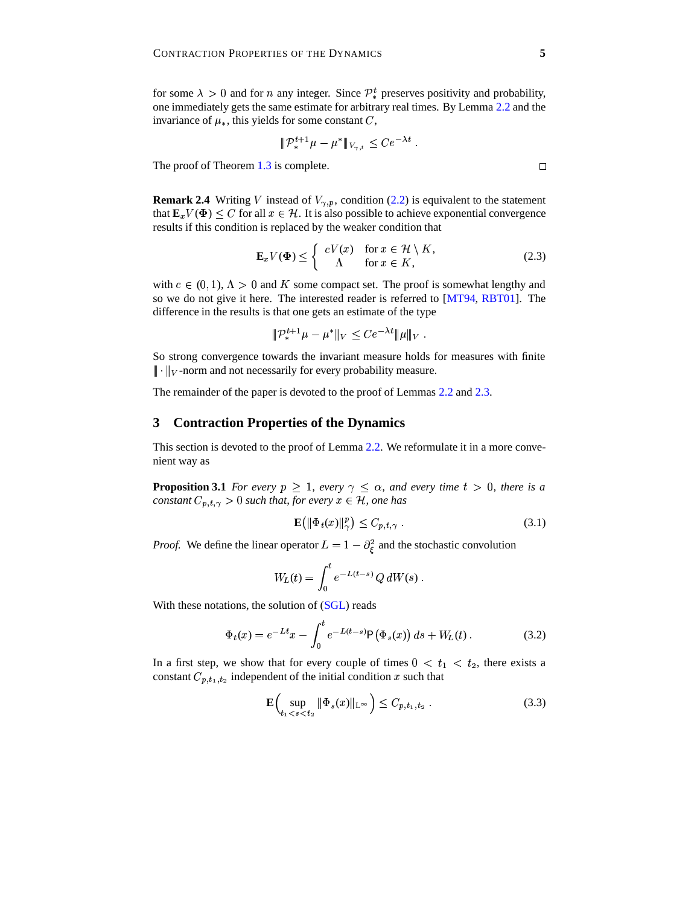for some  $\lambda > 0$  and for *n* any integer. Since  $\mathcal{P}_{*}^{t}$  preserves positivity and probability, one immediately gets the same estimate for arbitrary real times. By Lemma [2.2](#page-6-1) and the invariance of  $\mu$ , this yields for some constant C,

$$
\|\mathcal{P}_{*}^{t+1}\mu - \mu^{*}\|_{V_{\gamma,t}} \leq Ce^{-\lambda t}.
$$

The proof of Theorem [1.3](#page-6-2) is complete.

**Remark 2.4** Writing V instead of  $V_{\gamma,p}$ , condition [\(2.2\)](#page-3-1) is equivalent to the statement that  $\mathbf{E}_x V(\Phi) \leq C$  for all  $x \in \mathcal{H}$ . It is also possible to achieve exponential convergence results if this condition is replaced by the weaker condition that

$$
\mathbf{E}_x V(\Phi) \leq \begin{cases} cV(x) & \text{for } x \in \mathcal{H} \setminus K, \\ \Lambda & \text{for } x \in K, \end{cases}
$$
 (2.3)

with  $c \in (0, 1)$ ,  $\Lambda > 0$  and K some compact set. The proof is somewhat lengthy and so we do not give it here. The interested reader is referred to [\[MT94,](#page-9-11) [RBT01\]](#page-9-10). The difference in the results is that one gets an estimate of the type

$$
|\!|\!|{\mathcal D}_*^{t+1}\mu-\mu^*|\!|\!|_V\leq Ce^{-\lambda t}|\!|\!|\mu|\!|\!|_V\ .
$$

So strong convergence towards the invariant measure holds for measures with finite  $\|\cdot\|_V$ -norm and not necessarily for every probability measure.

The remainder of the paper is devoted to the proof of Lemmas [2.2](#page-6-1) and [2.3.](#page-6-2)

## <span id="page-4-0"></span>**3 Contraction Properties of the Dynamics**

This section is devoted to the proof of Lemma [2.2.](#page-6-1) We reformulate it in a more convenient way as

**Proposition 3.1** For every  $p \geq 1$ , every  $\gamma \leq \alpha$ , and every time  $t > 0$ , there is a *constant*  $C_{p,t,\gamma} > 0$  *such that, for every*  $x \in H$ *, one has* 

<span id="page-4-2"></span>
$$
\mathbf{E}\left(\left\|\Phi_t(x)\right\|_{\gamma}^p\right) \le C_{p,t,\gamma} \tag{3.1}
$$

*Proof.* We define the linear operator  $L = 1 - \partial_{\xi}^{2}$  and the stochastic convolution

$$
W_L(t) = \int_0^t e^{-L(t-s)} Q dW(s) .
$$

With these notations, the solution of [\(SGL\)](#page-0-0) reads

$$
\Phi_t(x) = e^{-Lt}x - \int_0^t e^{-L(t-s)} \mathsf{P}(\Phi_s(x)) \, ds + W_L(t) \,. \tag{3.2}
$$

In a first step, we show that for every couple of times  $0 < t_1 < t_2$ , there exists a constant  $C_{p,t_1,t_2}$  independent of the initial condition x such that

<span id="page-4-1"></span>
$$
\mathbf{E}\Big(\sup_{t_1 < s < t_2} \|\Phi_s(x)\|_{L^\infty}\Big) \le C_{p,t_1,t_2} \,. \tag{3.3}
$$

$$
\Box
$$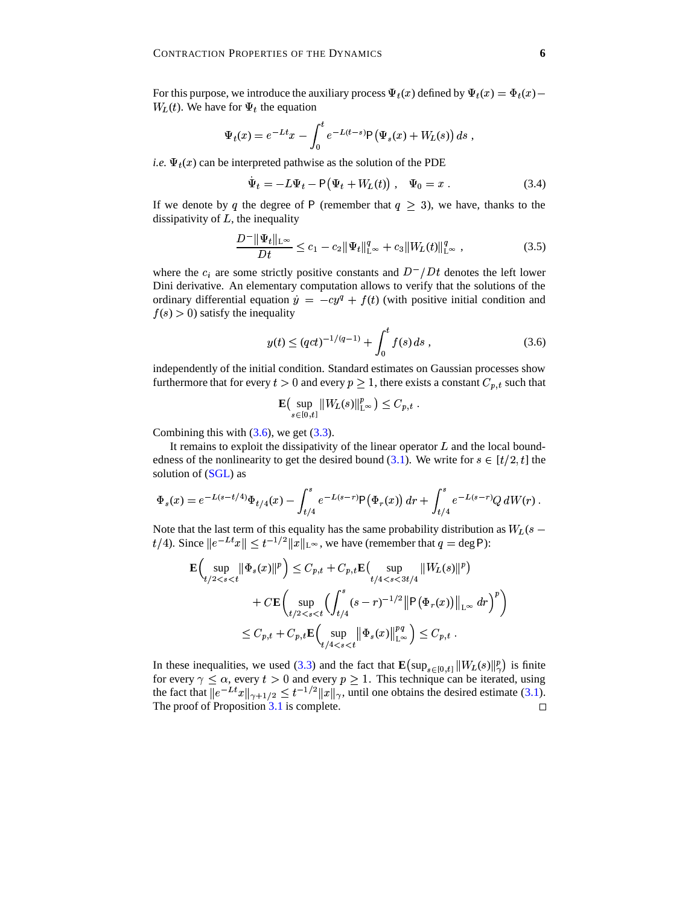$\blacksquare$ 

For this purpose, we introduce the auxiliary process  $\Psi_t(x)$  defined by  $\Psi_t(x) = \Phi_t(x) - \Phi_t(x)$  $W_L(t)$ . We have for  $\Psi_t$  the equation

$$
\Psi_t(x) = e^{-Lt}x - \int_0^t e^{-L(t-s)} \mathsf{P}(\Psi_s(x) + W_L(s)) ds,
$$

*i.e.*  $\Psi_t(x)$  can be interpreted pathwise as the solution of the PDE

$$
\dot{\Psi}_t = -L\Psi_t - P(\Psi_t + W_L(t)), \quad \Psi_0 = x.
$$
\n(3.4)

If we denote by q the degree of P (remember that  $q \geq 3$ ), we have, thanks to the dissipativity of  $L$ , the inequality

$$
\frac{D^{-} \|\Psi_t\|_{L^{\infty}}}{Dt} \le c_1 - c_2 \|\Psi_t\|_{L^{\infty}}^q + c_3 \|W_L(t)\|_{L^{\infty}}^q,
$$
\n(3.5)

where the  $c_i$  are some strictly positive constants and  $D^- / Dt$  denotes the left lower Dini derivative. An elementary computation allows to verify that the solutions of the ordinary differential equation  $\dot{y} = -cy^q + f(t)$  (with positive initial condition and  $f(s) > 0$ ) satisfy the inequality

<span id="page-5-0"></span>
$$
y(t) \le (qct)^{-1/(q-1)} + \int_0^t f(s) \, ds \,, \tag{3.6}
$$

independently of the initial condition. Standard estimates on Gaussian processes show furthermore that for every  $t > 0$  and every  $p \ge 1$ , there exists a constant  $C_{p,t}$  such that

$$
\mathbf{E}\big(\sup_{s\in[0,t]}\|W_L(s)\|_{L^\infty}^p\big)\leq C_{p,t}.
$$

Combining this with  $(3.6)$ , we get  $(3.3)$ .

It remains to exploit the dissipativity of the linear operator  $L$  and the local bound-edness of the nonlinearity to get the desired bound [\(3.1\)](#page-4-2). We write for  $s \in [t/2, t]$  the solution of [\(SGL\)](#page-0-0) as

$$
\Phi_s(x) = e^{-L(s-t/4)} \Phi_{t/4}(x) - \int_{t/4}^s e^{-L(s-r)} \mathsf{P}(\Phi_r(x)) dr + \int_{t/4}^s e^{-L(s-r)} Q dW(r) .
$$

Note that the last term of this equality has the same probability distribution as  $W_L(s \| t/4$ ). Since  $\| e^{-Lt} x \| \leq t^{-1/2} \| x \|_{\mathsf{L}^{\infty}}$ , we have (remember that  $q = \deg \mathsf{P}$ ):

$$
\mathbf{E}\Big(\sup_{t/2 < s < t} \|\Phi_s(x)\|^p\Big) \leq C_{p,t} + C_{p,t}\mathbf{E}\big(\sup_{t/4 < s < 3t/4} \|W_L(s)\|^p\big) \n+ C\mathbf{E}\Big(\sup_{t/2 < s < t} \Big(\int_{t/4}^s (s-r)^{-1/2} \|\mathsf{P}(\Phi_r(x))\|_{L^\infty} \, dr\Big)^p\Big) \n\leq C_{p,t} + C_{p,t}\mathbf{E}\Big(\sup_{t/4 < s < t} \|\Phi_s(x)\|_{L^\infty}^{pq}\Big) \leq C_{p,t} .
$$

In these inequalities, we used [\(3.3\)](#page-4-1) and the fact that  $\mathbf{E}(\sup_{s\in[0,t]}||W_L(s)||_\gamma^p)$  is finite for every  $\gamma \leq \alpha$ , every  $t > 0$  and every  $p \geq 1$ . This technique can be iterated, using the fact that  $||e^{-Lt}x||_{\gamma+1/2} \leq t^{-1/2}||x||_{\gamma}$ , until one obtains the desired estimate [\(3.1\)](#page-4-2). The proof of Proposition [3.1](#page-6-0) is complete.  $\Box$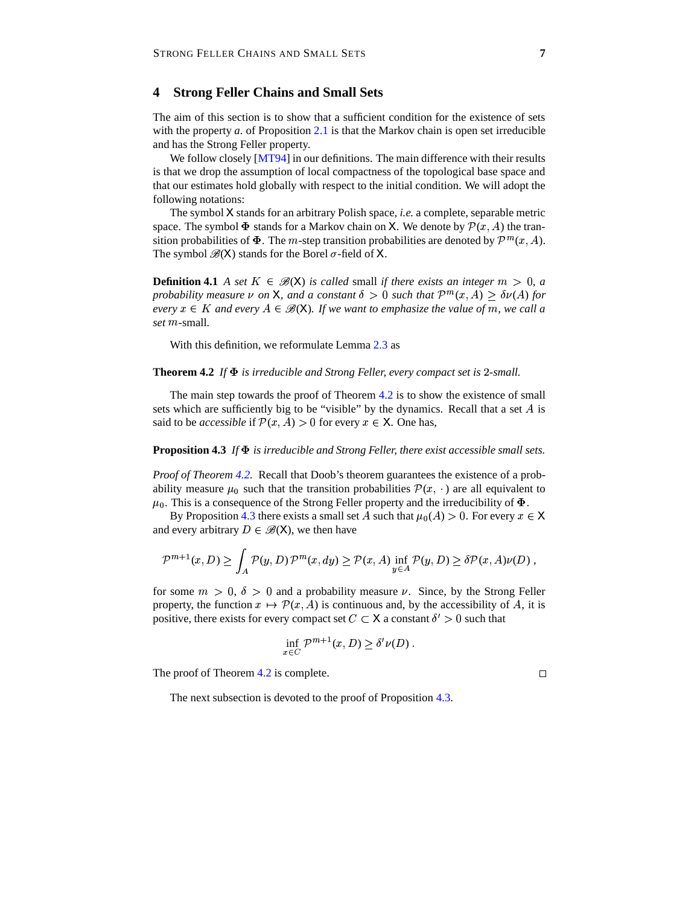## <span id="page-6-3"></span>**4 Strong Feller Chains and Small Sets**

The aim of this section is to show that a sufficient condition for the existence of sets with the property *a*. of Proposition [2.1](#page-6-0) is that the Markov chain is open set irreducible and has the Strong Feller property.

We follow closely [\[MT94\]](#page-9-11) in our definitions. The main difference with their results is that we drop the assumption of local compactness of the topological base space and that our estimates hold globally with respect to the initial condition. We will adopt the following notations:

The symbol X stands for an arbitrary Polish space, *i.e.* a complete, separable metric space. The symbol  $\Phi$  stands for a Markov chain on X. We denote by  $\mathcal{P}(x,\hat{A})$  the transition probabilities of  $\Phi$ . The m-step transition probabilities are denoted by  $\mathcal{P}^m(x,\hat{A})$ . The symbol  $\mathcal{B}(X)$  stands for the Borel  $\sigma$ -field of X.

<span id="page-6-0"></span>**Definition 4.1** *A set*  $K \in \mathcal{B}(X)$  *is called* small *if there exists an integer*  $m > 0$ , *a probability measure*  $\nu$  *on*  $X$ *, and a constant*  $\delta > 0$  *such that*  $\mathcal{P}^m(x, A) \geq \delta \nu(A)$  *for every*  $x \in K$  and every  $A \in \mathcal{B}(\mathsf{X})$ . If we want to emphasize the value of m, we call a *set m*-small.

With this definition, we reformulate Lemma [2.3](#page-6-2) as

### <span id="page-6-1"></span>**Theorem 4.2** If  $\Phi$  *is irreducible and Strong Feller, every compact set is* 2-small.

The main step towards the proof of Theorem [4.2](#page-6-1) is to show the existence of small sets which are sufficiently big to be "visible" by the dynamics. Recall that a set  $A$  is said to be *accessible* if  $\mathcal{P}(x, A) > 0$  for every  $x \in X$ . One has,

#### <span id="page-6-2"></span>**Proposition 4.3** *If is irreducible and Strong Feller, there exist accessible small sets.*

*Proof of Theorem [4.2.](#page-6-1)* Recall that Doob's theorem guarantees the existence of a probability measure  $\mu_0$  such that the transition probabilities  $\mathcal{P}(x, \cdot)$  are all equivalent to  $\mu_0$ . This is a consequence of the Strong Feller property and the irreducibility of  $\Phi$ .

By Proposition [4.3](#page-6-2) there exists a small set A such that  $\mu_0(A) > 0$ . For every  $x \in X$ and every arbitrary  $D \in \mathcal{B}(X)$ , we then have

$$
\mathcal{P}^{m+1}(x, D) \ge \int_A \mathcal{P}(y, D) \mathcal{P}^m(x, dy) \ge \mathcal{P}(x, A) \inf_{y \in A} \mathcal{P}(y, D) \ge \delta \mathcal{P}(x, A) \nu(D) ,
$$

for some  $m > 0$ ,  $\delta > 0$  and a probability measure  $\nu$ . Since, by the Strong Feller property, the function  $x \mapsto \mathcal{P}(x, A)$  is continuous and, by the accessibility of A, it is positive, there exists for every compact set  $C \subset X$  a constant  $\delta' > 0$  such that

$$
\inf_{x \in C} \mathcal{P}^{m+1}(x, D) \ge \delta' \nu(D) .
$$

The proof of Theorem [4.2](#page-6-1) is complete.

 $\Box$ 

The next subsection is devoted to the proof of Proposition [4.3.](#page-6-2)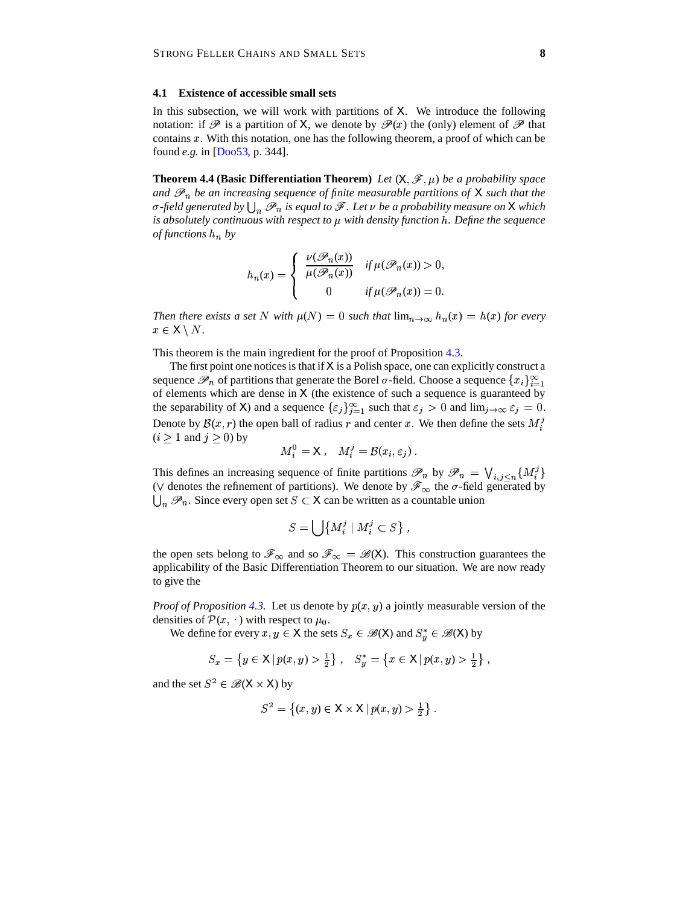## **4.1 Existence of accessible small sets**

In this subsection, we will work with partitions of  $X$ . We introduce the following notation: if  $\mathscr P$  is a partition of X, we denote by  $\mathscr P(x)$  the (only) element of  $\mathscr P$  that contains  $x$ . With this notation, one has the following theorem, a proof of which can be found *e.g.* in [\[Doo53,](#page-9-12) p. 344].

<span id="page-7-0"></span>**Theorem 4.4 (Basic Differentiation Theorem)** *Let*  $(X, \mathcal{F}, \mu)$  *be a probability space and*  $\mathscr{P}_n$  be an increasing sequence of finite measurable partitions of X such that the  $\sigma$ -field generated by  $\bigcup_n \mathscr{P}_n$  is equal to  $\mathscr{F}.$  Let  $\nu$  be a probability measure on  ${\sf X}$  which <sup>ê</sup> *is absolutely continuous with respect to* <sup>k</sup> *with density function* <sup>î</sup>*. Define the sequence of functions* <sup>î</sup> *by*

$$
h_n(x) = \begin{cases} \frac{\nu(\mathcal{P}_n(x))}{\mu(\mathcal{P}_n(x))} & \text{if } \mu(\mathcal{P}_n(x)) > 0, \\ 0 & \text{if } \mu(\mathcal{P}_n(x)) = 0. \end{cases}
$$

*Then there exists a set*  $N$  *with*  $\mu(N) = 0$  *such that*  $\lim_{n \to \infty} h_n(x) = h(x)$  for every  $x \in X \setminus N$ .

This theorem is the main ingredient for the proof of Proposition [4.3.](#page-6-2)

The first point one notices is that if  $X$  is a Polish space, one can explicitly construct a sequence  $\mathscr{P}_n$  of partitions that generate the Borel  $\sigma$ -field. Choose a sequence  $\{x_i\}_{i=1}^{\infty}$ of elements which are dense in  $X$  (the existence of such a sequence is guaranteed by the separability of X) and a sequence  $\{\varepsilon_j\}_{j=1}^{\infty}$  such that  $\varepsilon_j > 0$  and  $\lim_{j \to \infty} \varepsilon_j = 0$ . Denote by  $\mathcal{B}(x,r)$  the open ball of radius r and center x. We then define the sets  $M_i^3$  $(i \geq 1 \text{ and } j \geq 0)$  by

$$
M_i^0 = \mathsf{X} \ , \quad M_i^j = \mathcal{B}(x_i, \varepsilon_j) \ .
$$

This defines an increasing sequence of finite partitions  $\mathscr{P}_n$  by  $\mathscr{P}_n = \bigvee_{i,j \leq n} \{M_i^j\}$ ( $\vee$  denotes the refinement of partitions). We denote by  $\mathscr{F}_{\infty}$  the  $\sigma$ -field generated by  $\bigcup_n \mathcal{P}_n$ . Since every open set  $S \subset X$  can be written as a countable union

$$
S = \bigcup \left\{ M_i^j \mid M_i^j \subset S \right\},\
$$

the open sets belong to  $\mathscr{F}_{\infty}$  and so  $\mathscr{F}_{\infty} = \mathscr{B}(X)$ . This construction guarantees the applicability of the Basic Differentiation Theorem to our situation. We are now ready to give the

*Proof of Proposition* [4.3.](#page-6-2) Let us denote by  $p(x, y)$  a jointly measurable version of the densities of  $\mathcal{P}(x, \cdot)$  with respect to  $\mu_0$ .

We define for every  $x, y \in X$  the sets  $S_x \in \mathcal{B}(X)$  and  $S_u^* \in \mathcal{B}(X)$  by

$$
S_x = \left\{ y \in \mathsf{X} \mid p(x, y) > \frac{1}{2} \right\}, \quad S_y^* = \left\{ x \in \mathsf{X} \mid p(x, y) > \frac{1}{2} \right\},
$$

and the set  $S^2 \in \mathcal{B}(X \times X)$  by

$$
S^{2} = \{(x, y) \in \mathsf{X} \times \mathsf{X} \mid p(x, y) > \frac{1}{2}\}.
$$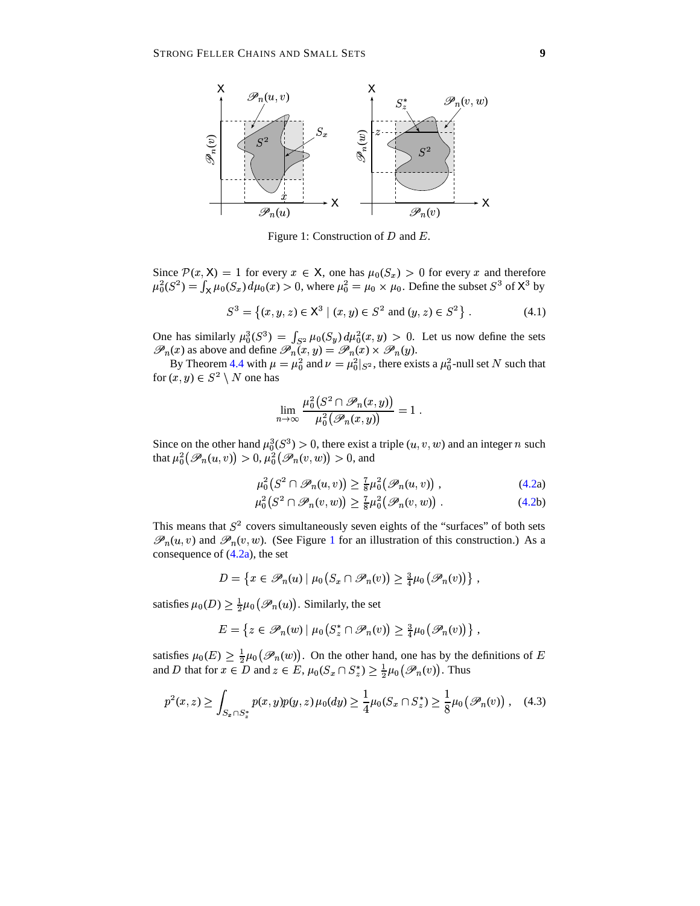

<span id="page-8-0"></span>Figure 1: Construction of  $D$  and  $E$ .

Since  $\mathcal{P}(x, X) = 1$  for every  $x \in X$ , one has  $\mu_0(S_x) > 0$  for every x and therefore  $\mu_0^2(S^2) = \int_X \mu_0(S_x) \, d\mu_0(x) > 0$ , where  $\mu_0^2 = \mu_0 \times \mu_0$ . Define the subset  $S^3$  of  $X^3$  by

$$
S^{3} = \{(x, y, z) \in \mathsf{X}^{3} \mid (x, y) \in S^{2} \text{ and } (y, z) \in S^{2} \}.
$$
 (4.1)

One has similarly  $\mu_0^3(S^3) = \int_{S^2} \mu_0(S_y) d\mu_0^2(x,y) > 0$ . Let us now define the sets  $\mathscr{P}_n(x)$  as above and define  $\mathscr{P}_n(x, y) = \mathscr{P}_n(x) \times \mathscr{P}_n(y)$ .

By Theorem [4.4](#page-7-0) with  $\mu = \mu_0^2$  and  $\nu = \mu_0^2|_{S^2}$ , there exists a  $\mu_0^2$ -null set N such that for  $(x, y) \in S^2 \setminus N$  one has

$$
\lim_{n\to\infty}\frac{\mu_0^2\bigl(S^2\cap\mathscr P_n(x,y)\bigr)}{\mu_0^2\bigl(\mathscr P_n(x,y)\bigr)}=1\ .
$$

Since on the other hand  $\mu_0^3(S^3) > 0$ , there exist a triple  $(u, v, w)$  and an integer n such that  $\mu_0^2(\mathscr{P}_n(u,v)) > 0$ ,  $\mu_0^2(\mathscr{P}_n(v,w)) > 0$ , and

$$
\mu_0^2(S^2 \cap \mathscr{P}_n(u, v)) \ge \frac{7}{8} \mu_0^2(\mathscr{P}_n(u, v)) \tag{4.2a}
$$

$$
\mu_0^2(S^2 \cap \mathscr{P}_n(v, w)) \ge \frac{7}{8}\mu_0^2(\mathscr{P}_n(v, w)) \tag{4.2b}
$$

This means that  $S<sup>2</sup>$  covers simultaneously seven eights of the "surfaces" of both sets  $\mathscr{P}_n(u, v)$  and  $\mathscr{P}_n(v, w)$ . (See Figure [1](#page-8-0) for an illustration of this construction.) As a consequence of  $(4.2a)$  $(4.2a)$ , the set

$$
D = \left\{ x \in \mathscr{P}_n(u) \mid \mu_0(S_x \cap \mathscr{P}_n(v)) \geq \frac{3}{4} \mu_0(\mathscr{P}_n(v)) \right\},\,
$$

satisfies  $\mu_0(D) \geq \frac{1}{2}\mu_0(\mathscr{P}_n(u))$ . Similarly, the set

<span id="page-8-1"></span> $\boldsymbol{n}$ 

$$
E = \left\{ z \in \mathscr{P}_n(w) \mid \mu_0 \big( S_z^* \cap \mathscr{P}_n(v) \big) \geq \frac{3}{4} \mu_0 \big( \mathscr{P}_n(v) \big) \right\},\,
$$

satisfies  $\mu_0(E) \geq \frac{1}{2}\mu_0(\mathscr{P}_n(w))$ . On the other hand, one has by the definitions of E and D that for  $x \in D$  and  $z \in E$ ,  $\mu_0(S_x \cap S_z^*) \geq \frac{1}{2}\mu_0(\mathscr{P}_n(v))$ . Thus

$$
p^{2}(x,z) \geq \int_{S_{x} \cap S_{z}^{*}} p(x,y)p(y,z)\,\mu_{0}(dy) \geq \frac{1}{4}\mu_{0}(S_{x} \cap S_{z}^{*}) \geq \frac{1}{8}\mu_{0}\big(\mathscr{P}_{n}(v)\big) , \quad (4.3)
$$